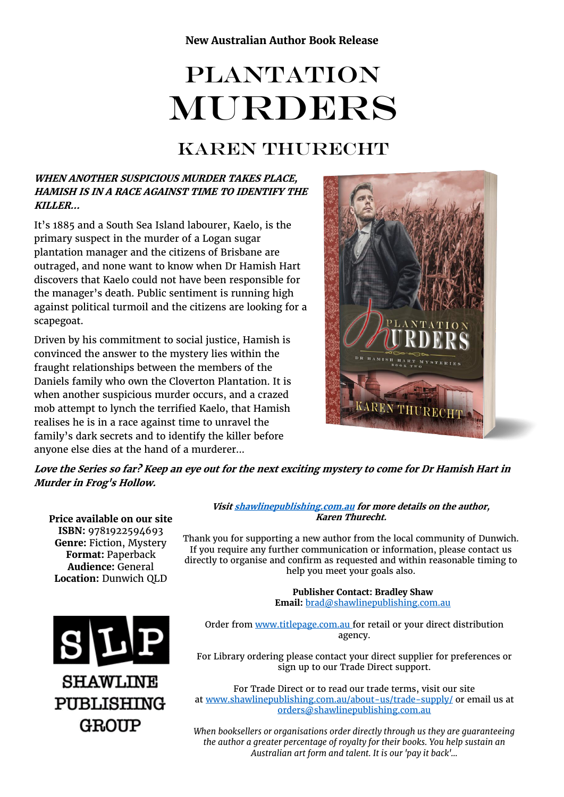# **PLANTATION** MURDERS

## KAREN THURECHT

#### **WHEN ANOTHER SUSPICIOUS MURDER TAKES PLACE, HAMISH IS IN A RACE AGAINST TIME TO IDENTIFY THE KILLER…**

It's 1885 and a South Sea Island labourer, Kaelo, is the primary suspect in the murder of a Logan sugar plantation manager and the citizens of Brisbane are outraged, and none want to know when Dr Hamish Hart discovers that Kaelo could not have been responsible for the manager's death. Public sentiment is running high against political turmoil and the citizens are looking for a scapegoat.

Driven by his commitment to social justice, Hamish is convinced the answer to the mystery lies within the fraught relationships between the members of the Daniels family who own the Cloverton Plantation. It is when another suspicious murder occurs, and a crazed mob attempt to lynch the terrified Kaelo, that Hamish realises he is in a race against time to unravel the family's dark secrets and to identify the killer before anyone else dies at the hand of a murderer...



**Love the Series so far? Keep an eye out for the next exciting mystery to come for Dr Hamish Hart in Murder in Frog's Hollow.**

**Price available on our site ISBN:** 9781922594693 **Genre:** Fiction, Mystery **Format:** Paperback **Audience:** General **Location:** Dunwich QLD



#### **Visi[t shawlinepublishing.com.au](https://www.shawlinepublishing.com.au/our-titles/fiction/display/159-plantation-murders) for more details on the author, Karen Thurecht.**

Thank you for supporting a new author from the local community of Dunwich. If you require any further communication or information, please contact us directly to organise and confirm as requested and within reasonable timing to help you meet your goals also.

> **Publisher Contact: Bradley Shaw Email:** [brad@shawlinepublishing.com.au](mailto:brad@shawlinepublishing.com.au)

Order from [www.titlepage.com.au](http://www.titlepage.com.au/) for retail or your direct distribution agency.

For Library ordering please contact your direct supplier for preferences or sign up to our Trade Direct support.

For Trade Direct or to read our trade terms, visit our site at [www.shawlinepublishing.com.au/about-us/trade-supply/](http://www.shawlinepublishing.com.au/about-us/trade-supply/) or email us at [orders@shawlinepublishing.com.au](mailto:orders@shawlinepublishing.com.au)

*When booksellers or organisations order directly through us they are guaranteeing the author a greater percentage of royalty for their books. You help sustain an Australian art form and talent. It is our 'pay it back'...*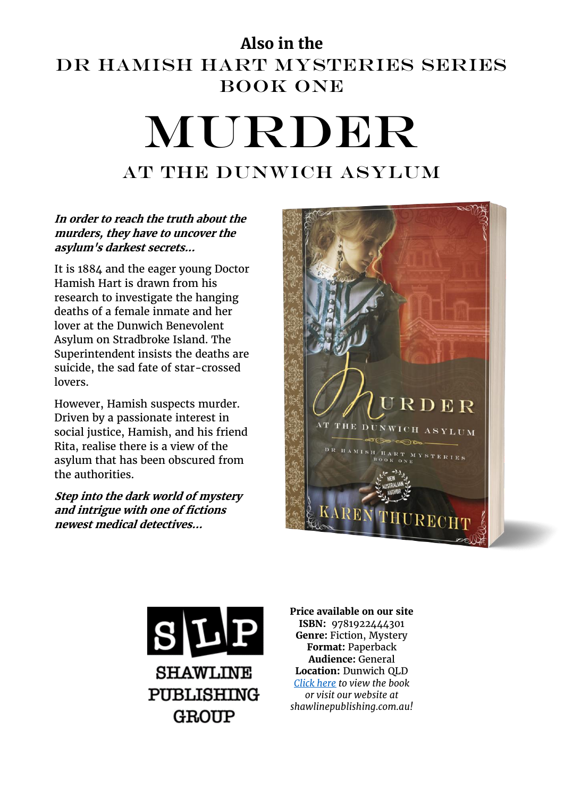## **Also in the**  Dr Hamish Hart Mysteries Series BOOK ONE MURDER

## AT THE DUNWICH ASYLUM

#### **In order to reach the truth about the murders, they have to uncover the asylum's darkest secrets...**

It is 1884 and the eager young Doctor Hamish Hart is drawn from his research to investigate the hanging deaths of a female inmate and her lover at the Dunwich Benevolent Asylum on Stradbroke Island. The Superintendent insists the deaths are suicide, the sad fate of star-crossed lovers.

However, Hamish suspects murder. Driven by a passionate interest in social justice, Hamish, and his friend Rita, realise there is a view of the asylum that has been obscured from the authorities.

**Step into the dark world of mystery and intrigue with one of fictions newest medical detectives...**





**Price available on our site ISBN:** 9781922444301 **Genre:** Fiction, Mystery **Format:** Paperback **Audience:** General **Location:** Dunwich QLD *[Click here](https://www.shawlinepublishing.com.au/our-titles/fiction/display/47-murder-at-the-dunwich-asylum) to view the book or visit our website at shawlinepublishing.com.au!*